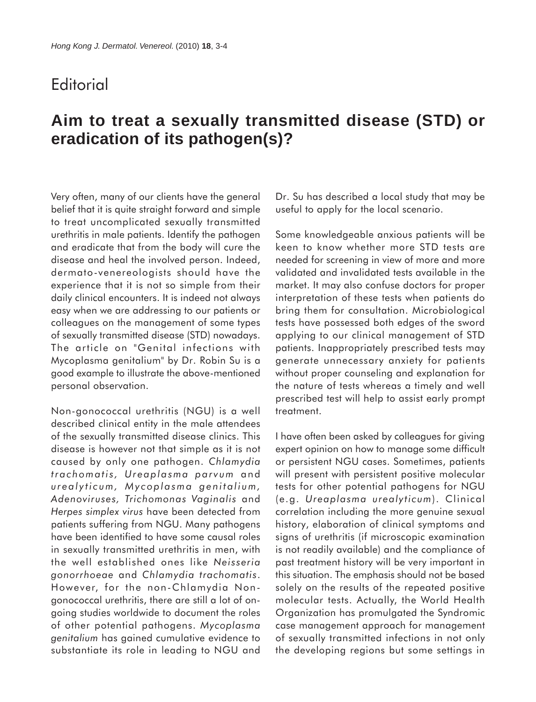## **Editorial**

## **Aim to treat a sexually transmitted disease (STD) or eradication of its pathogen(s)?**

Very often, many of our clients have the general belief that it is quite straight forward and simple to treat uncomplicated sexually transmitted urethritis in male patients. Identify the pathogen and eradicate that from the body will cure the disease and heal the involved person. Indeed, dermato-venereologists should have the experience that it is not so simple from their daily clinical encounters. It is indeed not always easy when we are addressing to our patients or colleagues on the management of some types of sexually transmitted disease (STD) nowadays. The article on "Genital infections with Mycoplasma genitalium" by Dr. Robin Su is a good example to illustrate the above-mentioned personal observation.

Non-gonococcal urethritis (NGU) is a well described clinical entity in the male attendees of the sexually transmitted disease clinics. This disease is however not that simple as it is not caused by only one pathogen. *Chlamydia trachomatis, Ureaplasma parvum* and *urealyticum, Mycoplasma genitalium, Adenoviruses, Trichomonas Vaginalis* and *Herpes simplex virus* have been detected from patients suffering from NGU. Many pathogens have been identified to have some causal roles in sexually transmitted urethritis in men, with the well established ones like *Neisseria gonorrhoeae* and *Chlamydia trachomatis*. However, for the non-Chlamydia Nongonococcal urethritis, there are still a lot of ongoing studies worldwide to document the roles of other potential pathogens. *Mycoplasma genitalium* has gained cumulative evidence to substantiate its role in leading to NGU and

Dr. Su has described a local study that may be useful to apply for the local scenario.

Some knowledgeable anxious patients will be keen to know whether more STD tests are needed for screening in view of more and more validated and invalidated tests available in the market. It may also confuse doctors for proper interpretation of these tests when patients do bring them for consultation. Microbiological tests have possessed both edges of the sword applying to our clinical management of STD patients. Inappropriately prescribed tests may generate unnecessary anxiety for patients without proper counseling and explanation for the nature of tests whereas a timely and well prescribed test will help to assist early prompt treatment.

I have often been asked by colleagues for giving expert opinion on how to manage some difficult or persistent NGU cases. Sometimes, patients will present with persistent positive molecular tests for other potential pathogens for NGU (e.g. *Ureaplasma urealyticum*). Clinical correlation including the more genuine sexual history, elaboration of clinical symptoms and signs of urethritis (if microscopic examination is not readily available) and the compliance of past treatment history will be very important in this situation. The emphasis should not be based solely on the results of the repeated positive molecular tests. Actually, the World Health Organization has promulgated the Syndromic case management approach for management of sexually transmitted infections in not only the developing regions but some settings in